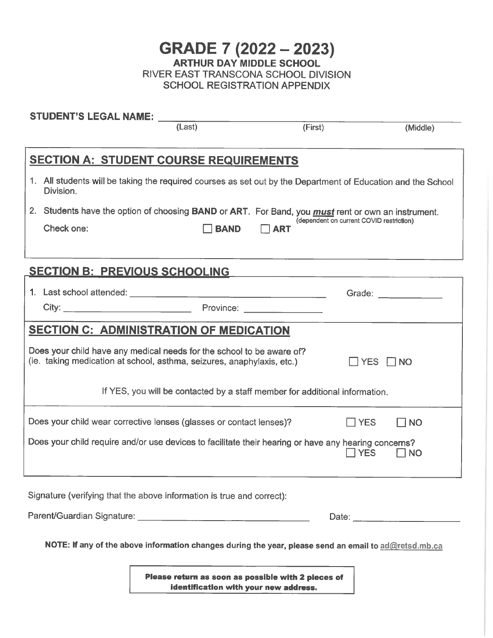GRADE 7 (2022 - 2023) ARTHUR DAY MIDDLE SCHOOL RIVER EAST TRANSCONA SCHOOL DIVISION SCHOOL REGISTRATION APPENDIX

| <b>STUDENT'S LEGAL NAME:</b>                                          |                                                                                                                                                                         |             |                                                                                                                      |                                          |                               |
|-----------------------------------------------------------------------|-------------------------------------------------------------------------------------------------------------------------------------------------------------------------|-------------|----------------------------------------------------------------------------------------------------------------------|------------------------------------------|-------------------------------|
|                                                                       | (Last)                                                                                                                                                                  |             | (First)                                                                                                              |                                          | (Middle)                      |
|                                                                       | <b>SECTION A: STUDENT COURSE REQUIREMENTS</b>                                                                                                                           |             |                                                                                                                      |                                          |                               |
|                                                                       | 1. All students will be taking the required courses as set out by the Department of Education and the School<br>Division.                                               |             |                                                                                                                      |                                          |                               |
|                                                                       | 2. Students have the option of choosing BAND or ART. For Band, you <i>must</i> rent or own an instrument.                                                               |             |                                                                                                                      |                                          |                               |
|                                                                       | Check one:                                                                                                                                                              | <b>BAND</b> | <b>ART</b>                                                                                                           | (dependent on current COVID restriction) |                               |
|                                                                       |                                                                                                                                                                         |             |                                                                                                                      |                                          |                               |
|                                                                       | <b>SECTION B: PREVIOUS SCHOOLING</b>                                                                                                                                    |             | <u> 1980 - Johann John Stone, mars eta bat eta bat eta bat eta bat ez artean ez artean bat ez artean ez artean b</u> |                                          |                               |
|                                                                       |                                                                                                                                                                         |             |                                                                                                                      |                                          | Grade: <u>_______________</u> |
|                                                                       |                                                                                                                                                                         |             |                                                                                                                      |                                          |                               |
|                                                                       | <b>SECTION C: ADMINISTRATION OF MEDICATION</b>                                                                                                                          |             |                                                                                                                      |                                          |                               |
|                                                                       | Does your child have any medical needs for the school to be aware of?<br>(ie. taking medication at school, asthma, seizures, anaphylaxis, etc.)<br>$\Box$ YES $\Box$ NO |             |                                                                                                                      |                                          |                               |
|                                                                       | If YES, you will be contacted by a staff member for additional information.                                                                                             |             |                                                                                                                      |                                          |                               |
|                                                                       | Does your child wear corrective lenses (glasses or contact lenses)?                                                                                                     |             |                                                                                                                      | $\Box$ YES                               | $\sqcap$ NO                   |
|                                                                       | Does your child require and/or use devices to facilitate their hearing or have any hearing concerns?                                                                    |             |                                                                                                                      | TYES                                     | 1 NO                          |
| Signature (verifying that the above information is true and correct): |                                                                                                                                                                         |             |                                                                                                                      |                                          |                               |
|                                                                       |                                                                                                                                                                         |             |                                                                                                                      |                                          |                               |

NOTE: If any of the above information changes during the year, please send an email to ad@retsd.mb.ca

Please return as soon as possible with 2 pieces of identification with your new address.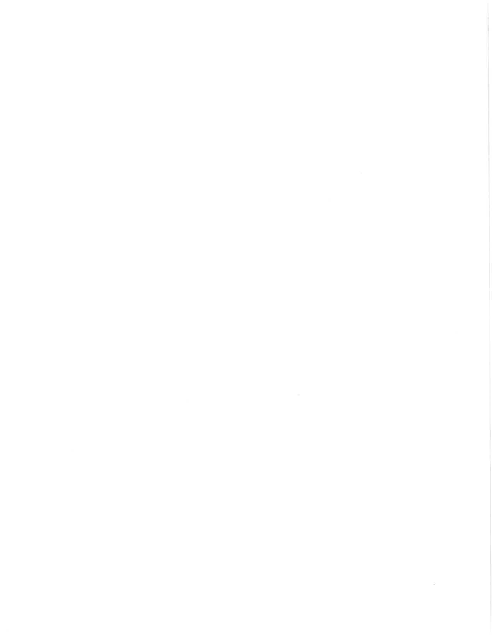$\mathbb{R}^n$  . The  $\mathbb{R}^n$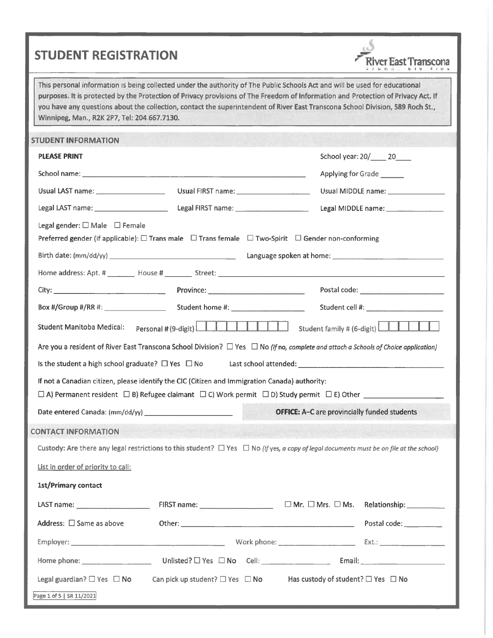

This personal information is being collected under the authority of The Public Schools Act and will be used for educational purposes. It is protected by the Protection of Privacy provisions of The Freedom of Information and Protection of Privacy Act. If you have any questions about the collection, contact the superintendent of River East Transcona School Division, 589 Roch St., Winnipeg, Man., R2K 2P7, Tel: 204. 667. 7130.

| <b>STUDENT INFORMATION</b>                                                                                                                                              |                                                                                                                                                   |                                                     |  |  |  |
|-------------------------------------------------------------------------------------------------------------------------------------------------------------------------|---------------------------------------------------------------------------------------------------------------------------------------------------|-----------------------------------------------------|--|--|--|
| <b>PLEASE PRINT</b>                                                                                                                                                     |                                                                                                                                                   | School year: 20/_____ 20____                        |  |  |  |
|                                                                                                                                                                         |                                                                                                                                                   | Applying for Grade                                  |  |  |  |
|                                                                                                                                                                         |                                                                                                                                                   | Usual MIDDLE name: ________________                 |  |  |  |
|                                                                                                                                                                         |                                                                                                                                                   |                                                     |  |  |  |
| Legal gender: $\square$ Male $\square$ Female<br>Preferred gender (if applicable): $\Box$ Trans male $\Box$ Trans female $\Box$ Two-Spirit $\Box$ Gender non-conforming |                                                                                                                                                   |                                                     |  |  |  |
|                                                                                                                                                                         |                                                                                                                                                   |                                                     |  |  |  |
|                                                                                                                                                                         |                                                                                                                                                   |                                                     |  |  |  |
|                                                                                                                                                                         |                                                                                                                                                   |                                                     |  |  |  |
|                                                                                                                                                                         |                                                                                                                                                   | Student cell #: _____________________               |  |  |  |
| <b>Student Manitoba Medical:</b>                                                                                                                                        | Personal # (9-digit)                                                                                                                              | Student family # (6-digit)                          |  |  |  |
|                                                                                                                                                                         | Are you a resident of River East Transcona School Division? $\Box$ Yes $\Box$ No (If no, complete and attach a Schools of Choice application)     |                                                     |  |  |  |
|                                                                                                                                                                         |                                                                                                                                                   |                                                     |  |  |  |
|                                                                                                                                                                         | If not a Canadian citizen, please identify the CIC (Citizen and Immigration Canada) authority:                                                    |                                                     |  |  |  |
|                                                                                                                                                                         | $\square$ A) Permanent resident $\square$ B) Refugee claimant $\square$ C) Work permit $\square$ D) Study permit $\square$ E) Other $\square$     |                                                     |  |  |  |
|                                                                                                                                                                         |                                                                                                                                                   | <b>OFFICE:</b> A-C are provincially funded students |  |  |  |
| <b>CONTACT INFORMATION</b>                                                                                                                                              |                                                                                                                                                   |                                                     |  |  |  |
|                                                                                                                                                                         | Custody: Are there any legal restrictions to this student? $\Box$ Yes $\Box$ No (If yes, a copy of legal documents must be on file at the school) |                                                     |  |  |  |
| List in order of priority to call:                                                                                                                                      |                                                                                                                                                   |                                                     |  |  |  |
| 1st/Primary contact                                                                                                                                                     |                                                                                                                                                   |                                                     |  |  |  |
| LAST name: ____________________                                                                                                                                         |                                                                                                                                                   |                                                     |  |  |  |
| Address: $\square$ Same as above                                                                                                                                        |                                                                                                                                                   | Postal code: _________                              |  |  |  |
|                                                                                                                                                                         |                                                                                                                                                   |                                                     |  |  |  |
| Home phone: ____________________                                                                                                                                        |                                                                                                                                                   |                                                     |  |  |  |
| Legal guardian? $\Box$ Yes $\Box$ No                                                                                                                                    | Can pick up student? $\square$ Yes $\square$ No                                                                                                   | Has custody of student? $\Box$ Yes $\Box$ No        |  |  |  |
| Page 1 of 5   SR 11/2021                                                                                                                                                |                                                                                                                                                   |                                                     |  |  |  |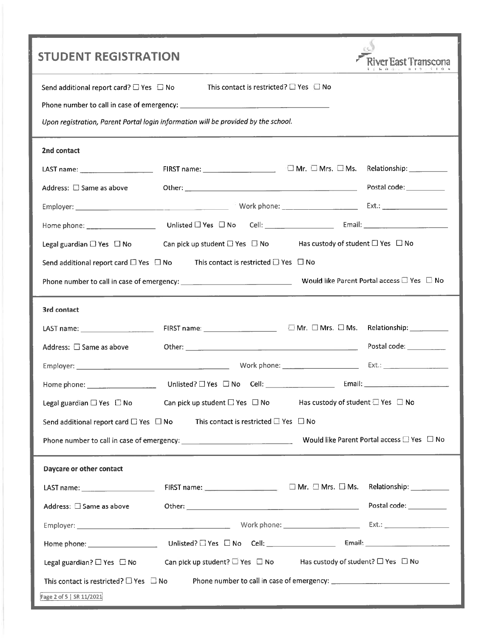| <b>STUDENT REGISTRATION</b>                                                                                                                                         |                                             |  |  |
|---------------------------------------------------------------------------------------------------------------------------------------------------------------------|---------------------------------------------|--|--|
| This contact is restricted? $\Box$ Yes $\Box$ No<br>Send additional report card? □ Yes □ No                                                                         |                                             |  |  |
|                                                                                                                                                                     |                                             |  |  |
| Upon registration, Parent Portal login information will be provided by the school.                                                                                  |                                             |  |  |
| 2nd contact                                                                                                                                                         |                                             |  |  |
|                                                                                                                                                                     |                                             |  |  |
| Address: $\square$ Same as above                                                                                                                                    |                                             |  |  |
|                                                                                                                                                                     |                                             |  |  |
|                                                                                                                                                                     |                                             |  |  |
| Can pick up student $\Box$ Yes $\Box$ No Has custody of student $\Box$ Yes $\Box$ No<br>Legal guardian $\Box$ Yes $\Box$ No                                         |                                             |  |  |
| Send additional report card $\Box$ Yes $\Box$ No This contact is restricted $\Box$ Yes $\Box$ No                                                                    |                                             |  |  |
| Phone number to call in case of emergency: $\frac{1}{2}$ and $\frac{1}{2}$ and $\frac{1}{2}$ and $\frac{1}{2}$ would like Parent Portal access $\Box$ Yes $\Box$ No |                                             |  |  |
| 3rd contact                                                                                                                                                         |                                             |  |  |
| FIRST name: $\Box$ Mr. $\Box$ Mrs. $\Box$ Ms. Relationship: $\Box$                                                                                                  |                                             |  |  |
| Address: $\square$ Same as above                                                                                                                                    | Postal code: __________                     |  |  |
|                                                                                                                                                                     |                                             |  |  |
|                                                                                                                                                                     |                                             |  |  |
| Can pick up student $\Box$ Yes $\Box$ No<br>Legal guardian $\square$ Yes $\square$ No                                                                               | Has custody of student $\Box$ Yes $\Box$ No |  |  |
| This contact is restricted $\Box$ Yes $\Box$ No<br>Send additional report card $\Box$ Yes $\Box$ No                                                                 |                                             |  |  |
|                                                                                                                                                                     |                                             |  |  |
| Daycare or other contact                                                                                                                                            |                                             |  |  |
| FIRST name: $\Box$ Mr. $\Box$ Mrs. $\Box$ Ms. Relationship: $\Box$<br>LAST name: _________________________                                                          |                                             |  |  |
| Address: $\square$ Same as above                                                                                                                                    | Postal code: __________                     |  |  |
|                                                                                                                                                                     |                                             |  |  |
|                                                                                                                                                                     |                                             |  |  |
| Can pick up student? $\Box$ Yes $\Box$ No Has custody of student? $\Box$ Yes $\Box$ No<br>Legal guardian? $\Box$ Yes $\Box$ No                                      |                                             |  |  |
| This contact is restricted? $\Box$ Yes $\Box$ No                                                                                                                    |                                             |  |  |
| Page 2 of 5   SR 11/2021                                                                                                                                            |                                             |  |  |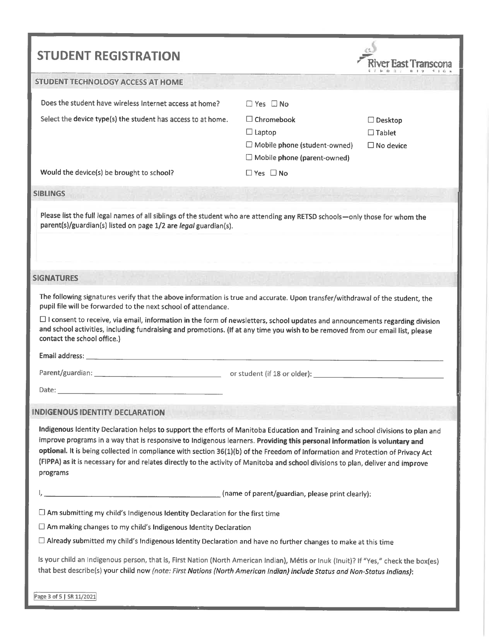| <b>STUDENT REGISTRATION</b>                                                                                                                                                                                                                                                                                                                                                                                                                                                                                                                       |                                                                                                                             |                                                     |  |  |  |  |
|---------------------------------------------------------------------------------------------------------------------------------------------------------------------------------------------------------------------------------------------------------------------------------------------------------------------------------------------------------------------------------------------------------------------------------------------------------------------------------------------------------------------------------------------------|-----------------------------------------------------------------------------------------------------------------------------|-----------------------------------------------------|--|--|--|--|
| <b>STUDENT TECHNOLOGY ACCESS AT HOME</b>                                                                                                                                                                                                                                                                                                                                                                                                                                                                                                          |                                                                                                                             |                                                     |  |  |  |  |
| Does the student have wireless Internet access at home?                                                                                                                                                                                                                                                                                                                                                                                                                                                                                           | $\Box$ Yes $\Box$ No                                                                                                        |                                                     |  |  |  |  |
| Select the device type(s) the student has access to at home.                                                                                                                                                                                                                                                                                                                                                                                                                                                                                      | $\Box$ Chromebook<br>$\Box$ Laptop<br>$\Box$ Mobile phone (student-owned)<br>$\Box$ Mobile phone (parent-owned)             | $\Box$ Desktop<br>$\Box$ Tablet<br>$\Box$ No device |  |  |  |  |
| Would the device(s) be brought to school?                                                                                                                                                                                                                                                                                                                                                                                                                                                                                                         | $\Box$ Yes $\Box$ No                                                                                                        |                                                     |  |  |  |  |
| <b>SIBLINGS</b>                                                                                                                                                                                                                                                                                                                                                                                                                                                                                                                                   |                                                                                                                             |                                                     |  |  |  |  |
| parent(s)/guardian(s) listed on page 1/2 are legal guardian(s).                                                                                                                                                                                                                                                                                                                                                                                                                                                                                   | Please list the full legal names of all siblings of the student who are attending any RETSD schools-only those for whom the |                                                     |  |  |  |  |
| <b>SIGNATURES</b>                                                                                                                                                                                                                                                                                                                                                                                                                                                                                                                                 |                                                                                                                             |                                                     |  |  |  |  |
| The following signatures verify that the above information is true and accurate. Upon transfer/withdrawal of the student, the<br>pupil file will be forwarded to the next school of attendance.                                                                                                                                                                                                                                                                                                                                                   |                                                                                                                             |                                                     |  |  |  |  |
| □ I consent to receive, via email, information in the form of newsletters, school updates and announcements regarding division<br>and school activities, including fundraising and promotions. (If at any time you wish to be removed from our email list, please<br>contact the school office.)                                                                                                                                                                                                                                                  |                                                                                                                             |                                                     |  |  |  |  |
|                                                                                                                                                                                                                                                                                                                                                                                                                                                                                                                                                   |                                                                                                                             |                                                     |  |  |  |  |
|                                                                                                                                                                                                                                                                                                                                                                                                                                                                                                                                                   |                                                                                                                             |                                                     |  |  |  |  |
| Date:<br><u> 1989 - Jan Barnett, fransk politiker (d. 1989)</u>                                                                                                                                                                                                                                                                                                                                                                                                                                                                                   |                                                                                                                             |                                                     |  |  |  |  |
| <b>INDIGENOUS IDENTITY DECLARATION</b>                                                                                                                                                                                                                                                                                                                                                                                                                                                                                                            |                                                                                                                             |                                                     |  |  |  |  |
| Indigenous Identity Declaration helps to support the efforts of Manitoba Education and Training and school divisions to plan and<br>improve programs in a way that is responsive to Indigenous learners. Providing this personal information is voluntary and<br>optional. It is being collected in compliance with section 36(1)(b) of the Freedom of Information and Protection of Privacy Act<br>(FIPPA) as it is necessary for and relates directly to the activity of Manitoba and school divisions to plan, deliver and improve<br>programs |                                                                                                                             |                                                     |  |  |  |  |
|                                                                                                                                                                                                                                                                                                                                                                                                                                                                                                                                                   | (name of parent/guardian, please print clearly):                                                                            |                                                     |  |  |  |  |
| $\Box$ Am submitting my child's Indigenous Identity Declaration for the first time                                                                                                                                                                                                                                                                                                                                                                                                                                                                |                                                                                                                             |                                                     |  |  |  |  |
|                                                                                                                                                                                                                                                                                                                                                                                                                                                                                                                                                   | $\Box$ Am making changes to my child's Indigenous Identity Declaration                                                      |                                                     |  |  |  |  |
| $\Box$ Already submitted my child's Indigenous Identity Declaration and have no further changes to make at this time                                                                                                                                                                                                                                                                                                                                                                                                                              |                                                                                                                             |                                                     |  |  |  |  |
| Is your child an Indigenous person, that is, First Nation (North American Indian), Métis or Inuk (Inuit)? If "Yes," check the box(es)<br>that best describe(s) your child now (note: First Nations (North American Indian) include Status and Non-Status Indians):                                                                                                                                                                                                                                                                                |                                                                                                                             |                                                     |  |  |  |  |
| Page 3 of 5   SR 11/2021                                                                                                                                                                                                                                                                                                                                                                                                                                                                                                                          |                                                                                                                             |                                                     |  |  |  |  |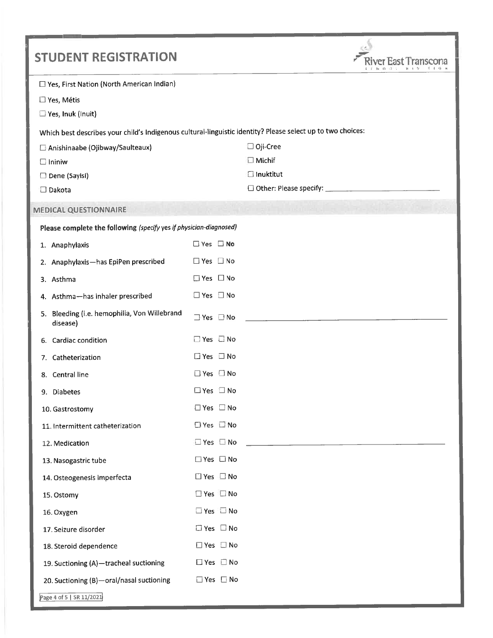| <b>STUDENT REGISTRATION</b>                                                                                 |                            | ver East Tra     |
|-------------------------------------------------------------------------------------------------------------|----------------------------|------------------|
| □ Yes, First Nation (North American Indian)                                                                 |                            |                  |
| $\Box$ Yes, Métis                                                                                           |                            |                  |
| Ves, Inuk (Inuit)                                                                                           |                            |                  |
| Which best describes your child's Indigenous cultural-linguistic identity? Please select up to two choices: |                            |                  |
| Anishinaabe (Ojibway/Saulteaux)                                                                             |                            | □ Oji-Cree       |
| $\Box$ Ininiw                                                                                               |                            | □ Michif         |
| Dene (Sayisi)                                                                                               |                            | $\Box$ Inuktitut |
| □ Dakota                                                                                                    |                            |                  |
| <b>MEDICAL QUESTIONNAIRE</b>                                                                                |                            |                  |
| Please complete the following (specify yes if physician-diagnosed)                                          |                            |                  |
| 1. Anaphylaxis                                                                                              | $\Box$ Yes $\Box$ No       |                  |
| 2. Anaphylaxis-has EpiPen prescribed                                                                        | $\Box$ Yes $\Box$ No       |                  |
| 3. Asthma                                                                                                   | $\square$ Yes $\square$ No |                  |
| 4. Asthma-has inhaler prescribed                                                                            | $\Box$ Yes $\Box$ No       |                  |
| 5. Bleeding (i.e. hemophilia, Von Willebrand<br>disease)                                                    | $\Box$ Yes $\Box$ No       |                  |
| 6. Cardiac condition                                                                                        | $\Box$ Yes $\Box$ No       |                  |
| 7. Catheterization                                                                                          | $\Box$ Yes $\Box$ No       |                  |
| 8. Central line                                                                                             | $\Box$ Yes $\Box$ No       |                  |
| 9. Diabetes                                                                                                 | $\Box$ Yes $\Box$ No       |                  |
| 10. Gastrostomy                                                                                             | $\Box$ Yes $\Box$ No       |                  |
| 11. Intermittent catheterization                                                                            | $\Box$ Yes $\Box$ No       |                  |
| 12. Medication                                                                                              | $\Box$ Yes $\Box$ No       |                  |
| 13. Nasogastric tube                                                                                        | $\Box$ Yes $\Box$ No       |                  |
| 14. Osteogenesis imperfecta                                                                                 | $\Box$ Yes $\Box$ No       |                  |
| 15. Ostomy                                                                                                  | $\Box$ Yes $\Box$ No       |                  |
| 16. Oxygen                                                                                                  | $\Box$ Yes $\Box$ No       |                  |
| 17. Seizure disorder                                                                                        | $\Box$ Yes $\Box$ No       |                  |
| 18. Steroid dependence                                                                                      | $\Box$ Yes $\Box$ No       |                  |
| 19. Suctioning (A)-tracheal suctioning                                                                      | $\Box$ Yes $\Box$ No       |                  |
| 20. Suctioning (B)-oral/nasal suctioning                                                                    | $\Box$ Yes $\Box$ No       |                  |
| Page 4 of 5   SR 11/2021                                                                                    |                            |                  |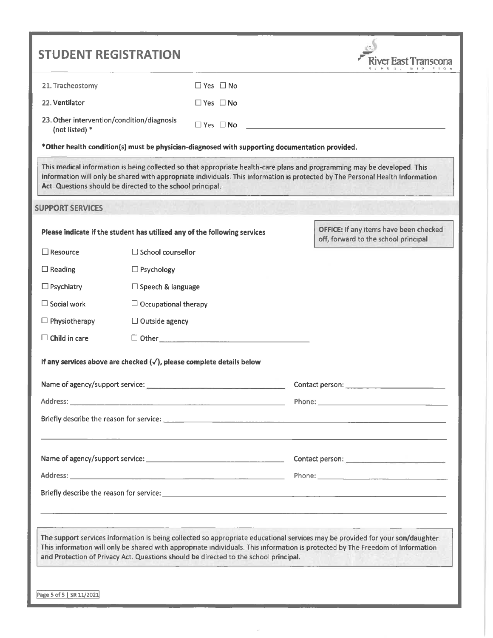| <b>STUDENT REGISTRATION</b>                                                      |                             |                                                                                                |  |                                                                                                                                                                                                                                                                  |
|----------------------------------------------------------------------------------|-----------------------------|------------------------------------------------------------------------------------------------|--|------------------------------------------------------------------------------------------------------------------------------------------------------------------------------------------------------------------------------------------------------------------|
| 21. Tracheostomy                                                                 |                             | $\Box$ Yes $\Box$ No                                                                           |  |                                                                                                                                                                                                                                                                  |
| 22. Ventilator                                                                   |                             | $\Box$ Yes $\Box$ No                                                                           |  |                                                                                                                                                                                                                                                                  |
| 23. Other intervention/condition/diagnosis<br>(not listed) *                     |                             | $\Box$ Yes $\Box$ No                                                                           |  |                                                                                                                                                                                                                                                                  |
|                                                                                  |                             | *Other health condition(s) must be physician-diagnosed with supporting documentation provided. |  |                                                                                                                                                                                                                                                                  |
| Act. Questions should be directed to the school principal.                       |                             |                                                                                                |  | This medical information is being collected so that appropriate health-care plans and programming may be developed. This<br>information will only be shared with appropriate individuals. This information is protected by The Personal Health Information       |
| <b>SUPPORT SERVICES</b>                                                          |                             |                                                                                                |  |                                                                                                                                                                                                                                                                  |
| Please indicate if the student has utilized any of the following services        |                             |                                                                                                |  | <b>OFFICE:</b> If any items have been checked<br>off, forward to the school principal                                                                                                                                                                            |
| $\Box$ Resource                                                                  | $\Box$ School counsellor    |                                                                                                |  |                                                                                                                                                                                                                                                                  |
| $\Box$ Reading                                                                   | $\Box$ Psychology           |                                                                                                |  |                                                                                                                                                                                                                                                                  |
| $\Box$ Psychiatry                                                                | $\Box$ Speech & language    |                                                                                                |  |                                                                                                                                                                                                                                                                  |
| $\Box$ Social work                                                               | $\Box$ Occupational therapy |                                                                                                |  |                                                                                                                                                                                                                                                                  |
| $\Box$ Physiotherapy                                                             | $\Box$ Outside agency       |                                                                                                |  |                                                                                                                                                                                                                                                                  |
| $\Box$ Child in care                                                             |                             | $\Box$ Other $\Box$                                                                            |  |                                                                                                                                                                                                                                                                  |
| If any services above are checked $(\checkmark)$ , please complete details below |                             |                                                                                                |  |                                                                                                                                                                                                                                                                  |
| Name of agency/support service:                                                  |                             |                                                                                                |  | Contact person:                                                                                                                                                                                                                                                  |
|                                                                                  |                             |                                                                                                |  |                                                                                                                                                                                                                                                                  |
|                                                                                  |                             |                                                                                                |  |                                                                                                                                                                                                                                                                  |
|                                                                                  |                             |                                                                                                |  |                                                                                                                                                                                                                                                                  |
|                                                                                  |                             |                                                                                                |  |                                                                                                                                                                                                                                                                  |
|                                                                                  |                             |                                                                                                |  |                                                                                                                                                                                                                                                                  |
|                                                                                  |                             |                                                                                                |  |                                                                                                                                                                                                                                                                  |
|                                                                                  |                             | and Protection of Privacy Act. Questions should be directed to the school principal.           |  | The support services information is being collected so appropriate educational services may be provided for your son/daughter.<br>This information will only be shared with appropriate individuals. This information is protected by The Freedom of Information |
| Page 5 of 5   SR 11/2021                                                         |                             |                                                                                                |  |                                                                                                                                                                                                                                                                  |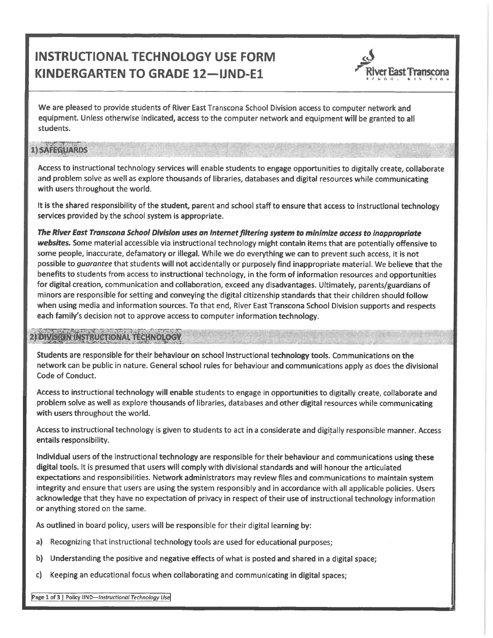# INSTRUCTIONAL TECHNOLOGY USE FORM KINDERGARTEN TO GRADE 12-UND-E1



We are pleased to provide students of River East Transcona School Division access to computer network and equipment. Unless otherwise indicated, access to the computer network and equipment will be granted to all students.

### 1) SAFEGUARDS

Access to instructional technology services will enable students to engage opportunities to digitally create, collaborate and problem solve as well as explore thousands of libraries, databases and digital resources while communicating with users throughout the world.

It is the shared responsibility of the student, parent and school staff to ensure that access to instructional technology services provided by the school system is appropriate.

The River East Transcona School Division uses an Internet filtering system to minimize access to inappropriate websites. Some material accessible via instructional technology might contain items that are potentially offensive to some people, inaccurate, defamatory or illegal. While we do everything we can to prevent such access, it is not possible to guarantee that students will not accidentally or purposely find inappropriate material. We believe that the benefits to students from access to instructional technology, in the form of information resources and opportunities for digital creation, communication and collaboration, exceed any disadvantages. Ultimately, parents/guardians of minors are responsible for setting and conveying the digital citizenship standards that their children should follow when using media and information sources. To that end. River East Transcona School Division supports and respects each family's decision not to approve access to computer information technology.

#### 2) DIVISION INSTRUCTIONAL TECHNOLOGY

Students are responsible for their behaviour on school instructional technology tools. Communications on the network can be public in nature. General school rules for behaviour and communications apply as does the divisional Code of Conduct.

Access to instructional technology will enable students to engage in opportunities to digitally create, collaborate and problem solve as well as explore thousands of libraries, databases and other digital resources while communicating with users throughout the world.

Access to instructional technology is given to students to act in a considerate and digitally responsible manner. Access entails responsibility.

Individual users of the instructional technology are responsible for their behaviour and communications using these digital tools. It is presumed that users will comply with divisional standards and will honour the articulated expectations and responsibilities. Network administrators may review files and communications to maintain system integrity and ensure that users are using the system responsibly and in accordance with all applicable policies. Users acknowledge that they have no expectation of privacy in respect of their use of instructional technology information or anything stored on the same.

As outlined in board policy, users will be responsible for their digital learning by:

- a) Recognizing that instructional technology tools are used for educational purposes;
- b) Understanding the positive and negative effects of what is posted and shared in a digital space;
- c) Keeping an educational focus when collaborating and communicating in digital spaces;

Page 1 of 3 | Policy IJND-Instructional Technology Use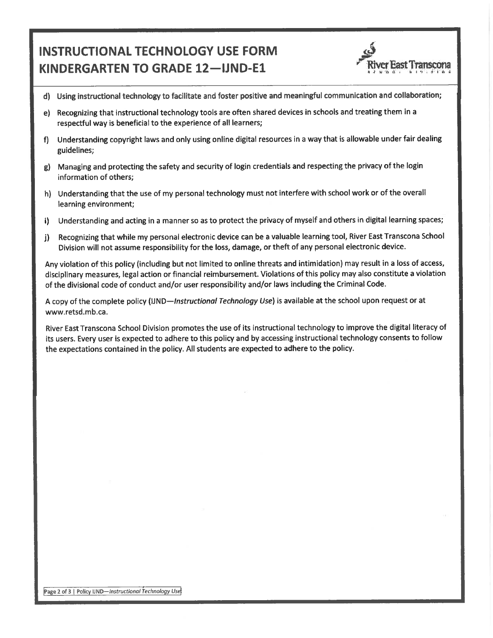### INSTRUCTIONAL TECHNOLOGY USE FORM KINDERGARTEN TO GRADE 12-UND-E1 Fiver Bast Transcona



- d) Using instructional technology to facilitate and foster positive and meaningful communication and collaboration;
- e) Recognizing that instructional technology tools are often shared devices in schools and treating them in a respectful way is beneficial to the experience of all learners;
- f) Understanding copyright laws and only using online digital resources in a way that is allowable under fair dealing guidelines;
- g) Managing and protecting the safety and security of login credentials and respecting the privacy of the login information of others;
- h) Understanding that the use of my personal technology must not interfere with school work or of the overall learning environment;
- i) Understanding and acting in a manner so as to protect the privacy of myself and others in digital learning spaces;
- j) Recognizing that while my personal electronic device can be a valuable learning tool. River East Transcona School Division will not assume responsibility for the loss, damage, or theft of any personal electronic device.

Any violation of this policy (including but not limited to online threats and intimidation) may result in a loss of access, disciplinary measures, legal action or financial reimbursement. Violations of this policy may also constitute a violation of the divisional code of conduct and/or user responsibility and/or laws including the Criminal Code.

A copy of the complete policy (IJND-*Instructional Technology Use*) is available at the school upon request or at www.retsd.mb.ca.

River EastTranscona School Division promotes the use of its instructional technology to improve the digital literacy of its users. Every user is expected to adhere to this policy and by accessing instructional technology consents to follow the expectations contained in the policy. All students are expected to adhere to the policy.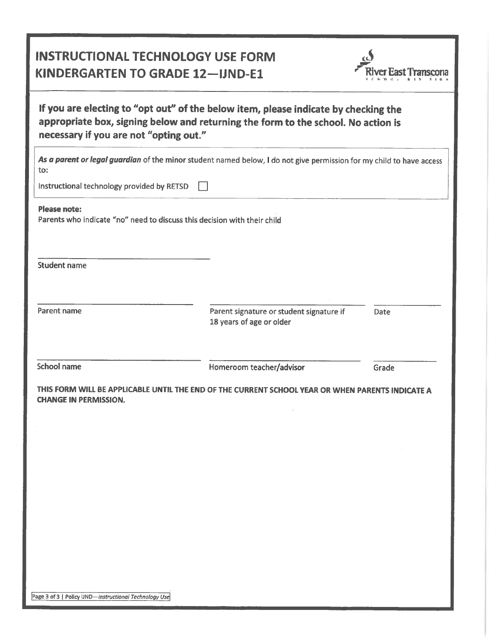# INSTRUCTIONAL TECHNOLOGY USE FORM KINDERGARTEN TO GRADE 12-JJND-E1



| If you are electing to "opt out" of the below item, please indicate by checking the<br>appropriate box, signing below and returning the form to the school. No action is<br>necessary if you are not "opting out." |                                                                      |      |  |  |
|--------------------------------------------------------------------------------------------------------------------------------------------------------------------------------------------------------------------|----------------------------------------------------------------------|------|--|--|
| As a parent or legal guardian of the minor student named below, I do not give permission for my child to have access<br>to:<br>Instructional technology provided by RETSD                                          |                                                                      |      |  |  |
| <b>Please note:</b><br>Parents who indicate "no" need to discuss this decision with their child                                                                                                                    |                                                                      |      |  |  |
| <b>Student name</b>                                                                                                                                                                                                |                                                                      |      |  |  |
| Parent name                                                                                                                                                                                                        | Parent signature or student signature if<br>18 years of age or older | Date |  |  |

School name

Homeroom teacher/advisor

Grade

THIS FORM WILL BE APPLICABLE UNTIL THE END OF THE CURRENT SCHOOL YEAR OR WHEN PARENTS INDICATE A CHANGE IN PERMISSION.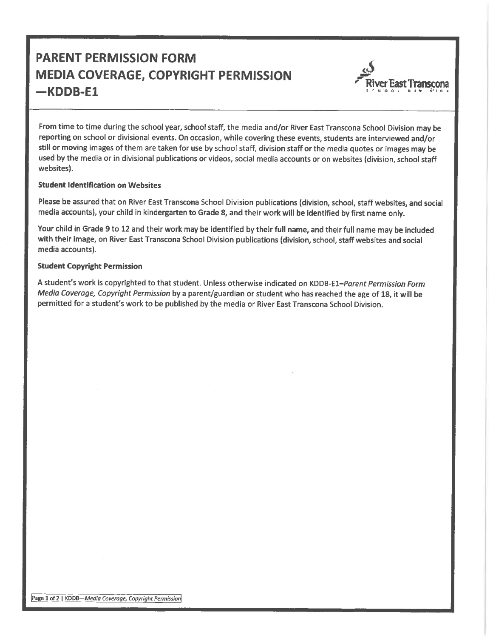# PARENT PERMISSION FORM MEDIA COVERAGE, COPYRIGHT PERMISSION  $-KDB-E1$



From time to time during the school year, school staff, the media and/or River East Transcona School Division may be reporting on school or divisional events. On occasion, while covering these events, students are interviewed and/or still or moving images of them are taken for use by school staff, division staff or the media quotes or images may be used by the media or in divisional publications or videos, social media accounts or on websites (division, school staff websites).

#### Student Identification on Websites

Please be assured that on River East Transcona School Division publications (division, school, staff websites, and social media accounts), your child in kindergarten to Grade 8, and their work will be identified by first name only.

Your child in Grade 9 to 12 and their work may be identified by their full name, and their full name may be included with their image, on River East Transcona School Division publications (division, school, staff websites and social media accounts).

#### Student Copyright Permission

A student's work is copyrighted to that student. Unless otherwise indicated on KDDB-E1-Parent Permission Form Media Coverage, Copyright Permission by a parent/guardian or student who has reached the age of 18, it will be permitted for a student's work to be published by the media or River East Transcona School Division.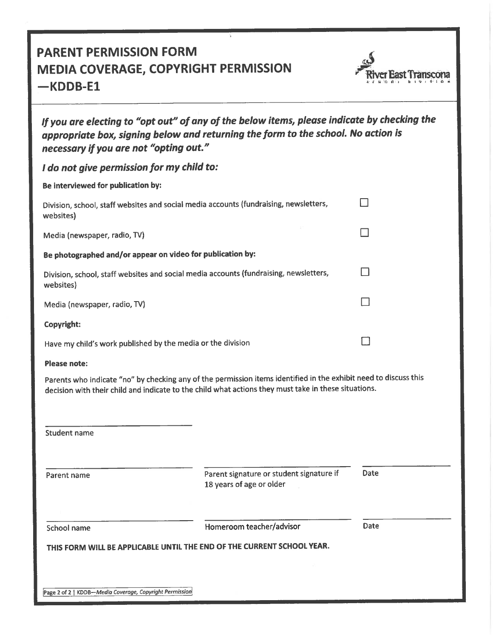# PARENT PERMISSION FORM MEDIA COVERAGE, COPYRIGHT PERMISSION  $-KDB-E1$



| If you are electing to "opt out" of any of the below items, please indicate by checking the<br>appropriate box, signing below and returning the form to the school. No action is<br>necessary if you are not "opting out." |                                                                      |      |  |  |  |
|----------------------------------------------------------------------------------------------------------------------------------------------------------------------------------------------------------------------------|----------------------------------------------------------------------|------|--|--|--|
| I do not give permission for my child to:                                                                                                                                                                                  |                                                                      |      |  |  |  |
| Be interviewed for publication by:                                                                                                                                                                                         |                                                                      |      |  |  |  |
| Division, school, staff websites and social media accounts (fundraising, newsletters,<br>websites)                                                                                                                         | H                                                                    |      |  |  |  |
| Media (newspaper, radio, TV)                                                                                                                                                                                               |                                                                      |      |  |  |  |
| Be photographed and/or appear on video for publication by:                                                                                                                                                                 |                                                                      |      |  |  |  |
| Division, school, staff websites and social media accounts (fundraising, newsletters,<br>websites)                                                                                                                         | Ιł                                                                   |      |  |  |  |
| Media (newspaper, radio, TV)                                                                                                                                                                                               |                                                                      |      |  |  |  |
| Copyright:                                                                                                                                                                                                                 |                                                                      |      |  |  |  |
| Have my child's work published by the media or the division                                                                                                                                                                |                                                                      |      |  |  |  |
| <b>Please note:</b>                                                                                                                                                                                                        |                                                                      |      |  |  |  |
| Parents who indicate "no" by checking any of the permission items identified in the exhibit need to discuss this<br>decision with their child and indicate to the child what actions they must take in these situations.   |                                                                      |      |  |  |  |
| <b>Student name</b>                                                                                                                                                                                                        |                                                                      |      |  |  |  |
| Parent name                                                                                                                                                                                                                | Parent signature or student signature if<br>18 years of age or older | Date |  |  |  |
| School name<br>THIS FORM WILL BE APPLICABLE UNTIL THE END OF THE CURRENT SCHOOL YEAR.                                                                                                                                      | Homeroom teacher/advisor                                             | Date |  |  |  |
| Page 2 of 2   KDDB-Media Coverage, Copyright Permission                                                                                                                                                                    |                                                                      |      |  |  |  |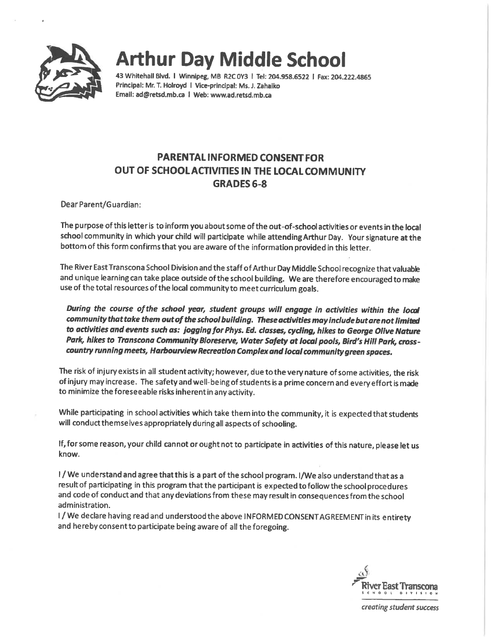

43 Whitehall Blvd. I Winnipeg, MB R2COY3 I Tel: 204.958.6522 I Fax: 204. 222. 4865 Principal: Mr. T. Holroyd I Vice-principal: Ms. J. Zahaiko Email: ad@iretsd.mb.ca I Web; www.ad.retsd. mb.ca

### PARENTAL INFORMED CONSENT FOR OUT OF SCHOOLACTIVITIES IN THE LOCAL COMMUNITY GRADES 6-8

Dear Parent/Guardian:

The purpose of this letteris to inform you about some of the out-of-school activities or events in the local school community in which your child will participate while attendingArthur Day. Your signature at the bottom of this form confirmsthat you are aware of the information provided in this letter.

The River East Transcona School Division and the staff of Arthur Day Middle School recognize that valuable and unique learning can take place outside of the school building. We are therefore encouraged to make use of the total resources of the local communityto meet curriculum goals.

During the course of the school year, student groups will engage in activities within the local community thattake them out of the school building. These activities may include but are not limited to activities and events such as: jogging for Phys. Ed. classes, cycling, hikes to George Olive Nature Park, hikes to Transcona Community Bioreserve, Water Safety at local pools, Bird's Hill Park, crosscountry running meets, Harbourview Recreation Complex and local community green spaces.

The risk of injury exists in all student activity; however, due to the very nature of some activities, the risk of injury may increase. The safety and well-being of students is a prime concern and every effort is made to minimize the foreseeable risks inherent in any activity.

While participating in school activities which take them into the community, it is expected that students will conduct themselves appropriately during all aspects of schooling.

If, for some reason, your child cannot or ought not to participate in activities of this nature, please let us know.

I / We understand and agree that this is a part of the school program. 1/We also understand that as a result of participating in this program that the participant is expected to follow the school procedures and code of conduct and that any deviations from these may result in consequences from the school administration.

I / We declare having read and understood the above INFORMED CONSENT AGREEMENT in its entirety and hereby consent to participate being aware of all the foregoing.



creating student success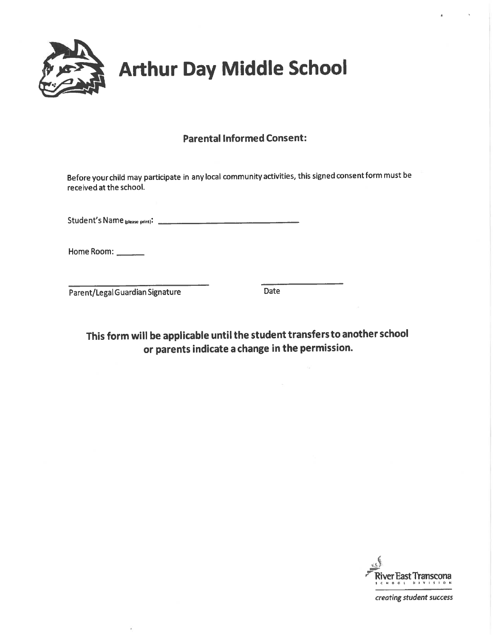

#### Parental Informed Consent:

Before your child may participate in any local community activities, this signed consent form must be received at the school.

Student's Name ipiease print):

Home Room:

Parent/Legal Guardian Signature Date

This form will be applicable until the student transfers to another school or parents indicate a change in the permission.



creating student success

 $\mathbf{r}$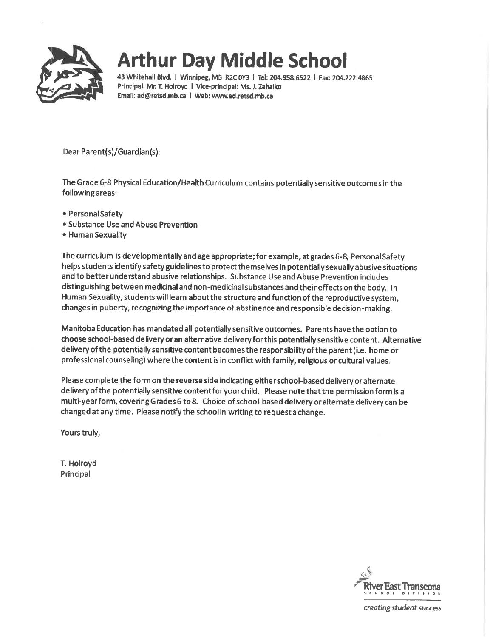

43 Whitehall Blvd. I Winnipeg, MB R2COY3 I Tel: 204.958.6522 I Fax: 204.222.4865 Principal: Mr. T. Holroyd | Vice-principal: Ms. J. Zahaiko Email: ad@retsd.mb.ca | Web: www.ad.retsd.mb.ca

Dear Parent(s)/Guardian(s):

The Grade 6-8 Physical Education/Heahh Curriculum contains potentially sensitive outcomes in the following areas:

- Personal Safety
- . Substance Use and Abuse Prevention
- . Human Sexuality

The curriculum is developmentallyandage appropriate; for example, at grades 6-8, Personal Safety helps students identify safety guidelines to protect themselves in potentially sexually abusive situations and to better understand abusive relationships. Substance Useand Abuse Prevention includes distinguishing between medicinal and non-medicinal substances and their effects on the body. In Human Sexuality, students will learn about the structure and function of the reproductive system, changes in puberty, recognizing the importance of abstinence and responsible decision-making.

Manitoba Education has mandated all potentially sensitive outcomes. Parents have the option to choose school-based delivery oran alternative deliveryforthis potentially sensitive content. Alternative delivery of the potentially sensitive content becomes the responsibility of the parent (i.e. home or professional counseling) where the content is in conflict with family, religious or cultural values.

Please complete the form on the reverse side indicating eitherschool-based delivery oralternate delivery of the potentially sensitive content for your child. Please note that the permission form is a multi-yearform, cove ring Grades 6 to 8. Choice of school-based delivery or alternate delivery can be changed at any time. Please notify the school in writing to request a change.

Yours truly,

T. Holroyd Principal



creating student success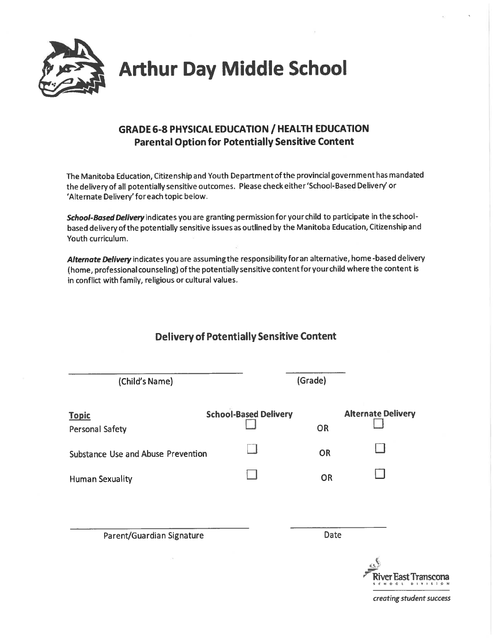

#### GRADE 6-8 PHYSICAL EDUCATION / HEALTH EDUCATION Parental Option for Potentially Sensitive Content

The Manitoba Education, Citizenship and Youth Department of the provincial government has mandated the delivery of all potentially sensitive outcomes. Please check either'School-Based Delivery'or 'Alternate Delivery'foreach topic below.

School-Based Delivery indicates you are granting permission for your child to participate in the schoolbased delivery of the potentially sensitive issues as outlined by the Manitoba Education, Citizenship and Youth curriculum.

Alternate Delivery indicates you are assuming the responsibility for an alternative, home-based delivery (home, professional counseling) of the potentially sensitive contentforyourchild where the content is in conflict with family, religious or cultural values.

| (Child's Name)                            |                              | (Grade)   |                                   |
|-------------------------------------------|------------------------------|-----------|-----------------------------------|
| <b>Topic</b><br><b>Personal Safety</b>    | <b>School-Based Delivery</b> | <b>OR</b> | <b>Alternate Delivery</b>         |
| <b>Substance Use and Abuse Prevention</b> |                              | OR        |                                   |
| <b>Human Sexuality</b>                    |                              | OR        |                                   |
| Parent/Guardian Signature                 |                              | Date      |                                   |
|                                           |                              |           | O <sub>h</sub><br>$D$ $V$ $V$ $S$ |

### Delivery of Potentially Sensitive Content

creating student success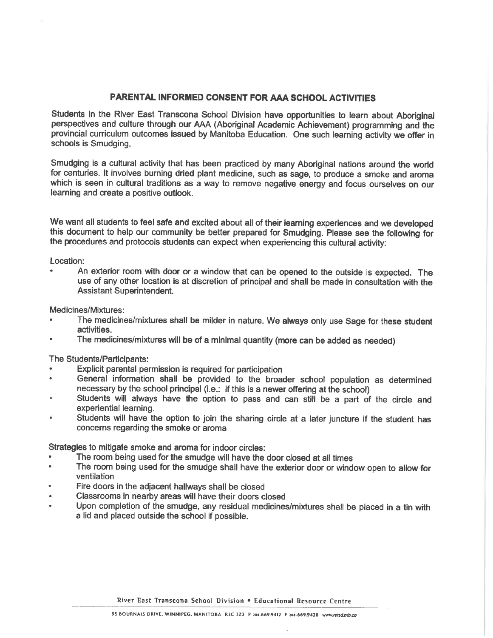#### PARENTAL INFORMED CONSENT FOR AAA SCHOOL ACTIVITIES

Students in the River East Transcona School Division have opportunities to learn about Aboriginal perspectives and culture through our AAA (Aboriginal Academic Achievement) programming and the provincial curriculum outcomes issued by Manitoba Education. One such learning activity we offer in schools is Smudging.

Smudging is a cultural activity that has been practiced by many Aboriginal nations around the worid for centuries. It involves burning dried plant medicine, such as sage, to produce a smoke and aroma which is seen in cultural traditions as a way to remove negative energy and focus ourselves on our learning and create a positive outlook.

We want all students to feel safe and excited about all of their learning experiences and we developed this document to help our community be better prepared for Smudging. Please see the following for the procedures and protocols students can expect when experiencing this cultural activity:

Location:

An exterior room with door or a window that can be opened to the outside is expected. The use of any other location is at discretion of principal and shall be made in consultation with the Assistant Superintendent.

Medicines/Mixtures:

- The medicines/mixtures shall be milder in nature. We always only use Sage for these student activities.
- The medicines/mixtures will be of a minimal quantity (more can be added as needed)

The Students/Participants:

- Explicit parental permission is required for participation
- General information shall be provided to the broader school population as determined necessary by the school principal (i.e. : if this is a newer offering at the school)
- Students will always have the option to pass and can still be a part of the circle and experiential learning.
- Students will have the option to join the sharing circle at a later juncture if the student has concerns regarding the smoke or aroma

Strategies to mitigate smoke and aroma for indoor circles:

- The room being used for the smudge will have the door closed at all times  $\bullet$
- The room being used for the smudge shall have the exterior door or window open to allow for ventilation
- Fire doors in the adjacent hallways shall be closed
- Classrooms in nearby areas will have their doors closed
- Upon completion of the smudge, any residual medicines/mixtures shall be placed in a tin with a lid and placed outside the school if possible.

River East Transcona School Division . Educational Resource Centre